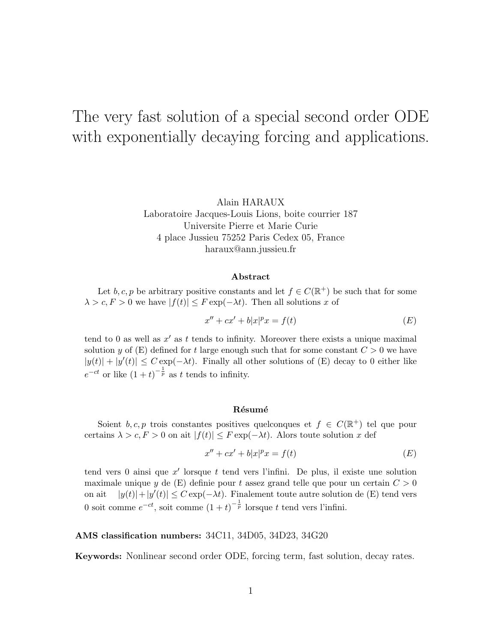# The very fast solution of a special second order ODE with exponentially decaying forcing and applications.

Alain HARAUX

Laboratoire Jacques-Louis Lions, boite courrier 187 Universite Pierre et Marie Curie 4 place Jussieu 75252 Paris Cedex 05, France haraux@ann.jussieu.fr

#### Abstract

Let b, c, p be arbitrary positive constants and let  $f \in C(\mathbb{R}^+)$  be such that for some  $\lambda > c, F > 0$  we have  $|f(t)| \leq F \exp(-\lambda t)$ . Then all solutions x of

$$
x'' + cx' + b|x|^p x = f(t)
$$
\n
$$
(E)
$$

tend to 0 as well as  $x'$  as t tends to infinity. Moreover there exists a unique maximal solution y of  $(E)$  defined for t large enough such that for some constant  $C > 0$  we have  $|y(t)| + |y'(t)| \leq C \exp(-\lambda t)$ . Finally all other solutions of (E) decay to 0 either like  $e^{-ct}$  or like  $(1+t)^{-\frac{1}{p}}$  as t tends to infinity.

#### Résumé

Soient  $b, c, p$  trois constantes positives quelconques et  $f \in C(\mathbb{R}^+)$  tel que pour certains  $\lambda > c, F > 0$  on ait  $|f(t)| \leq F \exp(-\lambda t)$ . Alors toute solution x def

$$
x'' + cx' + b|x|^p x = f(t)
$$
 (E)

tend vers 0 ainsi que  $x'$  lorsque t tend vers l'infini. De plus, il existe une solution maximale unique y de  $(E)$  definie pour t assez grand telle que pour un certain  $C > 0$ on ait  $|y(t)|+|y'(t)| \leq C \exp(-\lambda t)$ . Finalement toute autre solution de (E) tend vers 0 soit comme  $e^{-ct}$ , soit comme  $(1+t)^{-\frac{1}{p}}$  lorsque t tend vers l'infini.

#### AMS classification numbers: 34C11, 34D05, 34D23, 34G20

Keywords: Nonlinear second order ODE, forcing term, fast solution, decay rates.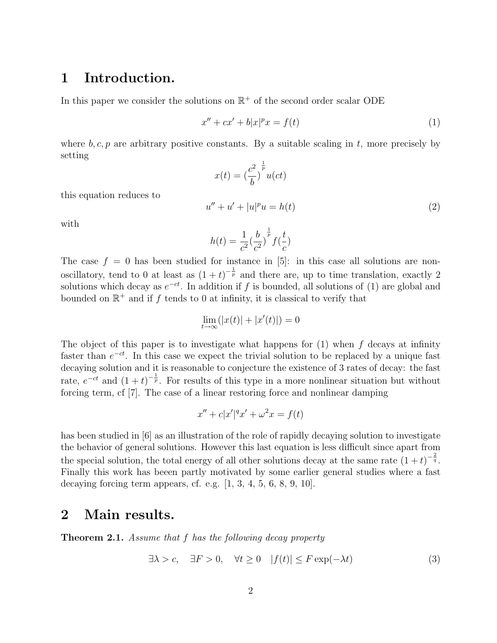### 1 Introduction.

In this paper we consider the solutions on  $\mathbb{R}^+$  of the second order scalar ODE

$$
x'' + cx' + b|x|^p x = f(t)
$$
\n<sup>(1)</sup>

where b, c, p are arbitrary positive constants. By a suitable scaling in t, more precisely by setting

$$
x(t) = \left(\frac{c^2}{b}\right)^{\frac{1}{p}} u(ct)
$$
  

$$
u'' + u' + |u|^p u = h(t)
$$
 (2)

this equation reduces to

with

$$
h(t) = \frac{1}{c^2} \left(\frac{b}{c^2}\right)^{\frac{1}{p}} f\left(\frac{t}{c}\right)
$$

The case  $f = 0$  has been studied for instance in [5]: in this case all solutions are nonoscillatory, tend to 0 at least as  $(1+t)^{-\frac{1}{p}}$  and there are, up to time translation, exactly 2 solutions which decay as  $e^{-ct}$ . In addition if f is bounded, all solutions of (1) are global and bounded on  $\mathbb{R}^+$  and if f tends to 0 at infinity, it is classical to verify that

$$
\lim_{t \to \infty} (|x(t)| + |x'(t)|) = 0
$$

The object of this paper is to investigate what happens for  $(1)$  when f decays at infinity faster than  $e^{-ct}$ . In this case we expect the trivial solution to be replaced by a unique fast decaying solution and it is reasonable to conjecture the existence of 3 rates of decay: the fast rate,  $e^{-ct}$  and  $(1+t)^{-\frac{1}{p}}$ . For results of this type in a more nonlinear situation but without forcing term, cf [7]. The case of a linear restoring force and nonlinear damping

$$
x'' + c|x'|^{q}x' + \omega^{2}x = f(t)
$$

has been studied in [6] as an illustration of the role of rapidly decaying solution to investigate the behavior of general solutions. However this last equation is less difficult since apart from the special solution, the total energy of all other solutions decay at the same rate  $(1+t)^{-\frac{2}{q}}$ . Finally this work has beeen partly motivated by some earlier general studies where a fast decaying forcing term appears, cf. e.g.  $[1, 3, 4, 5, 6, 8, 9, 10]$ .

### 2 Main results.

Theorem 2.1. Assume that f has the following decay property

$$
\exists \lambda > c, \quad \exists F > 0, \quad \forall t \ge 0 \quad |f(t)| \le F \exp(-\lambda t)
$$
 (3)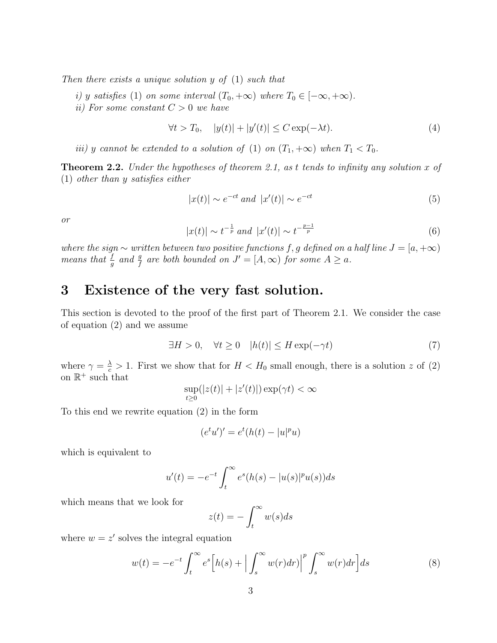Then there exists a unique solution y of (1) such that

i) y satisfies (1) on some interval  $(T_0, +\infty)$  where  $T_0 \in [-\infty, +\infty)$ .

ii) For some constant  $C > 0$  we have

$$
\forall t > T_0, \quad |y(t)| + |y'(t)| \le C \exp(-\lambda t). \tag{4}
$$

iii) y cannot be extended to a solution of (1) on  $(T_1, +\infty)$  when  $T_1 < T_0$ .

**Theorem 2.2.** Under the hypotheses of theorem 2.1, as t tends to infinity any solution x of (1) other than y satisfies either

$$
|x(t)| \sim e^{-ct} \text{ and } |x'(t)| \sim e^{-ct} \tag{5}
$$

or

$$
|x(t)| \sim t^{-\frac{1}{p}} \text{ and } |x'(t)| \sim t^{-\frac{p-1}{p}} \tag{6}
$$

where the sign  $\sim$  written between two positive functions f, g defined on a half line  $J = [a, +\infty)$ means that  $\frac{f}{g}$  and  $\frac{g}{f}$  are both bounded on  $J' = [A, \infty)$  for some  $A \ge a$ .

### 3 Existence of the very fast solution.

This section is devoted to the proof of the first part of Theorem 2.1. We consider the case of equation (2) and we assume

$$
\exists H > 0, \quad \forall t \ge 0 \quad |h(t)| \le H \exp(-\gamma t) \tag{7}
$$

where  $\gamma = \frac{\lambda}{c} > 1$ . First we show that for  $H < H_0$  small enough, there is a solution z of (2) on  $\mathbb{R}^+$  such that

$$
\sup_{t\geq 0}(|z(t)|+|z'(t)|)\exp(\gamma t)<\infty
$$

To this end we rewrite equation (2) in the form

$$
(etu')' = et(h(t) - |u|pu)
$$

which is equivalent to

$$
u'(t) = -e^{-t} \int_{t}^{\infty} e^{s} (h(s) - |u(s)|^{p} u(s)) ds
$$

which means that we look for

$$
z(t) = -\int_t^\infty w(s)ds
$$

where  $w = z'$  solves the integral equation

$$
w(t) = -e^{-t} \int_{t}^{\infty} e^{s} \left[ h(s) + \left| \int_{s}^{\infty} w(r) dr \right|^{p} \int_{s}^{\infty} w(r) dr \right] ds \tag{8}
$$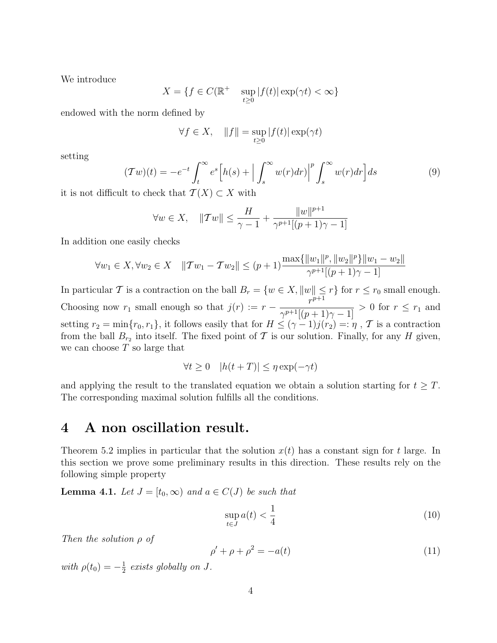We introduce

$$
X = \{ f \in C(\mathbb{R}^+ \quad \sup_{t \ge 0} |f(t)| \exp(\gamma t) < \infty \}
$$

endowed with the norm defined by

$$
\forall f \in X, \quad ||f|| = \sup_{t \ge 0} |f(t)| \exp(\gamma t)
$$

setting

$$
(\mathcal{T}w)(t) = -e^{-t} \int_{t}^{\infty} e^{s} \left[ h(s) + \left| \int_{s}^{\infty} w(r) dr \right|^{p} \int_{s}^{\infty} w(r) dr \right] ds \tag{9}
$$

it is not difficult to check that  $\mathcal{T}(X) \subset X$  with

$$
\forall w \in X, \quad ||\mathcal{T}w|| \le \frac{H}{\gamma - 1} + \frac{||w||^{p+1}}{\gamma^{p+1}[(p+1)\gamma - 1]}
$$

In addition one easily checks

$$
\forall w_1 \in X, \forall w_2 \in X \quad ||\mathcal{T}w_1 - \mathcal{T}w_2|| \le (p+1) \frac{\max\{||w_1||^p, ||w_2||^p\}||w_1 - w_2||}{\gamma^{p+1}[(p+1)\gamma - 1]}
$$

In particular T is a contraction on the ball  $B_r = \{w \in X, ||w|| \leq r\}$  for  $r \leq r_0$  small enough. Choosing now  $r_1$  small enough so that  $j(r) := r - \frac{r^{p+1}}{r^{p+1}}$  $\frac{1}{\gamma^{p+1}[(p+1)\gamma-1]} > 0$  for  $r \leq r_1$  and setting  $r_2 = \min\{r_0, r_1\}$ , it follows easily that for  $H \leq (\gamma - 1)j(r_2) =: \eta$ ,  $\mathcal{T}$  is a contraction from the ball  $B_{r_2}$  into itself. The fixed point of  $\mathcal T$  is our solution. Finally, for any  $H$  given, we can choose  $T$  so large that

$$
\forall t \ge 0 \quad |h(t+T)| \le \eta \exp(-\gamma t)
$$

and applying the result to the translated equation we obtain a solution starting for  $t \geq T$ . The corresponding maximal solution fulfills all the conditions.

#### 4 A non oscillation result.

Theorem 5.2 implies in particular that the solution  $x(t)$  has a constant sign for t large. In this section we prove some preliminary results in this direction. These results rely on the following simple property

**Lemma 4.1.** Let  $J = [t_0, \infty)$  and  $a \in C(J)$  be such that

$$
\sup_{t \in J} a(t) < \frac{1}{4} \tag{10}
$$

Then the solution ρ of

$$
\rho' + \rho + \rho^2 = -a(t) \tag{11}
$$

with  $\rho(t_0) = -\frac{1}{2}$  $\frac{1}{2}$  exists globally on J.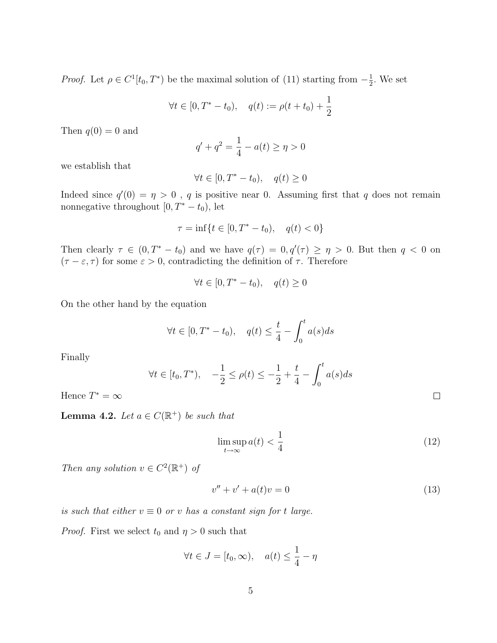*Proof.* Let  $\rho \in C^1[t_0, T^*)$  be the maximal solution of (11) starting from  $-\frac{1}{2}$  $\frac{1}{2}$ . We set

$$
\forall t \in [0, T^* - t_0), \quad q(t) := \rho(t + t_0) + \frac{1}{2}
$$

Then  $q(0) = 0$  and

$$
q' + q^2 = \frac{1}{4} - a(t) \ge \eta > 0
$$

we establish that

$$
\forall t \in [0, T^* - t_0), \quad q(t) \ge 0
$$

Indeed since  $q'(0) = \eta > 0$ , q is positive near 0. Assuming first that q does not remain nonnegative throughout  $[0, T^* - t_0)$ , let

$$
\tau = \inf\{t \in [0, T^* - t_0), \quad q(t) < 0\}
$$

Then clearly  $\tau \in (0, T^* - t_0)$  and we have  $q(\tau) = 0, q'(\tau) \geq \eta > 0$ . But then  $q < 0$  on  $(\tau - \varepsilon, \tau)$  for some  $\varepsilon > 0$ , contradicting the definition of  $\tau$ . Therefore

$$
\forall t \in [0, T^* - t_0), \quad q(t) \ge 0
$$

On the other hand by the equation

$$
\forall t \in [0, T^* - t_0), \quad q(t) \leq \frac{t}{4} - \int_0^t a(s)ds
$$

Finally

$$
\forall t \in [t_0, T^*), \quad -\frac{1}{2} \le \rho(t) \le -\frac{1}{2} + \frac{t}{4} - \int_0^t a(s)ds
$$

Hence  $T^* = \infty$ 

**Lemma 4.2.** Let  $a \in C(\mathbb{R}^+)$  be such that

$$
\limsup_{t \to \infty} a(t) < \frac{1}{4} \tag{12}
$$

 $\Box$ 

Then any solution  $v \in C^2(\mathbb{R}^+)$  of

$$
v'' + v' + a(t)v = 0 \tag{13}
$$

is such that either  $v \equiv 0$  or v has a constant sign for t large.

*Proof.* First we select  $t_0$  and  $\eta > 0$  such that

$$
\forall t \in J = [t_0, \infty), \quad a(t) \le \frac{1}{4} - \eta
$$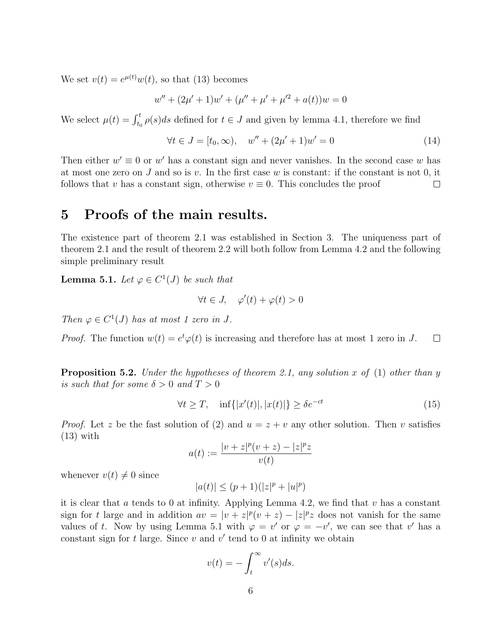We set  $v(t) = e^{\mu(t)}w(t)$ , so that (13) becomes

$$
w'' + (2\mu' + 1)w' + (\mu'' + \mu' + \mu'^2 + a(t))w = 0
$$

We select  $\mu(t) = \int_{t_0}^t \rho(s)ds$  defined for  $t \in J$  and given by lemma 4.1, therefore we find

$$
\forall t \in J = [t_0, \infty), \quad w'' + (2\mu' + 1)w' = 0 \tag{14}
$$

Then either  $w' \equiv 0$  or w' has a constant sign and never vanishes. In the second case w has at most one zero on J and so is v. In the first case w is constant: if the constant is not 0, it follows that v has a constant sign, otherwise  $v \equiv 0$ . This concludes the proof  $\Box$ 

#### 5 Proofs of the main results.

The existence part of theorem 2.1 was established in Section 3. The uniqueness part of theorem 2.1 and the result of theorem 2.2 will both follow from Lemma 4.2 and the following simple preliminary result

**Lemma 5.1.** Let  $\varphi \in C^1(J)$  be such that

$$
\forall t \in J, \quad \varphi'(t) + \varphi(t) > 0
$$

Then  $\varphi \in C^1(J)$  has at most 1 zero in J.

*Proof.* The function  $w(t) = e^t \varphi(t)$  is increasing and therefore has at most 1 zero in J.  $\Box$ 

**Proposition 5.2.** Under the hypotheses of theorem 2.1, any solution x of (1) other than y is such that for some  $\delta > 0$  and  $T > 0$ 

$$
\forall t \ge T, \quad \inf\{|x'(t)|, |x(t)|\} \ge \delta e^{-ct} \tag{15}
$$

*Proof.* Let z be the fast solution of (2) and  $u = z + v$  any other solution. Then v satisfies  $(13)$  with

$$
a(t) := \frac{|v + z|^p (v + z) - |z|^p z}{v(t)}
$$

whenever  $v(t) \neq 0$  since

$$
|a(t)|\leq (p+1)(|z|^p+|u|^p)
$$

it is clear that a tends to 0 at infinity. Applying Lemma 4.2, we find that v has a constant sign for t large and in addition  $av = |v + z|^p(v + z) - |z|^p z$  does not vanish for the same values of t. Now by using Lemma 5.1 with  $\varphi = v'$  or  $\varphi = -v'$ , we can see that v' has a constant sign for  $t$  large. Since  $v$  and  $v'$  tend to 0 at infinity we obtain

$$
v(t) = -\int_t^\infty v'(s)ds.
$$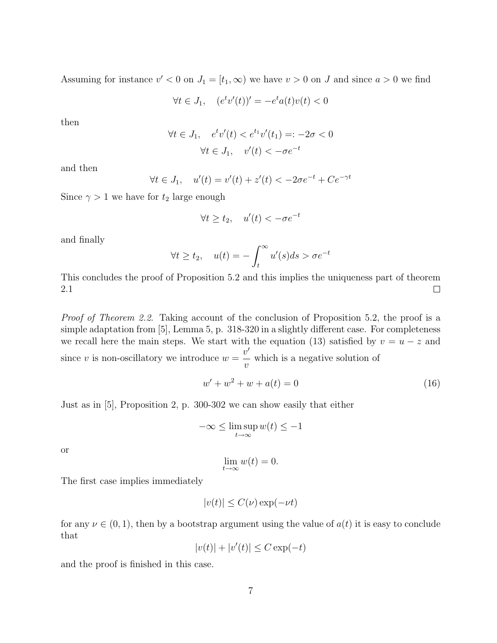Assuming for instance  $v' < 0$  on  $J_1 = [t_1, \infty)$  we have  $v > 0$  on J and since  $a > 0$  we find

$$
\forall t \in J_1, \quad (e^t v'(t))' = -e^t a(t)v(t) < 0
$$

then

$$
\forall t \in J_1, \quad e^t v'(t) < e^{t_1} v'(t_1) =: -2\sigma < 0
$$
\n
$$
\forall t \in J_1, \quad v'(t) < -\sigma e^{-t}
$$

and then

$$
\forall t \in J_1, \quad u'(t) = v'(t) + z'(t) < -2\sigma e^{-t} + Ce^{-\gamma t}
$$

Since  $\gamma > 1$  we have for  $t_2$  large enough

$$
\forall t \ge t_2, \quad u'(t) < -\sigma e^{-t}
$$

and finally

$$
\forall t \ge t_2, \quad u(t) = -\int_t^\infty u'(s)ds > \sigma e^{-t}
$$

This concludes the proof of Proposition 5.2 and this implies the uniqueness part of theorem 2.1  $\Box$ 

Proof of Theorem 2.2. Taking account of the conclusion of Proposition 5.2, the proof is a simple adaptation from [5], Lemma 5, p. 318-320 in a slightly different case. For completeness we recall here the main steps. We start with the equation (13) satisfied by  $v = u - z$  and since v is non-oscillatory we introduce  $w =$  $v'$  $\overline{v}$ which is a negative solution of

$$
w' + w^2 + w + a(t) = 0
$$
\n(16)

Just as in [5], Proposition 2, p. 300-302 we can show easily that either

$$
-\infty \le \limsup_{t \to \infty} w(t) \le -1
$$

or

$$
\lim_{t \to \infty} w(t) = 0.
$$

The first case implies immediately

$$
|v(t)| \le C(\nu) \exp(-\nu t)
$$

for any  $\nu \in (0,1)$ , then by a bootstrap argument using the value of  $a(t)$  it is easy to conclude that

$$
|v(t)|+|v'(t)|\leq C\exp(-t)
$$

and the proof is finished in this case.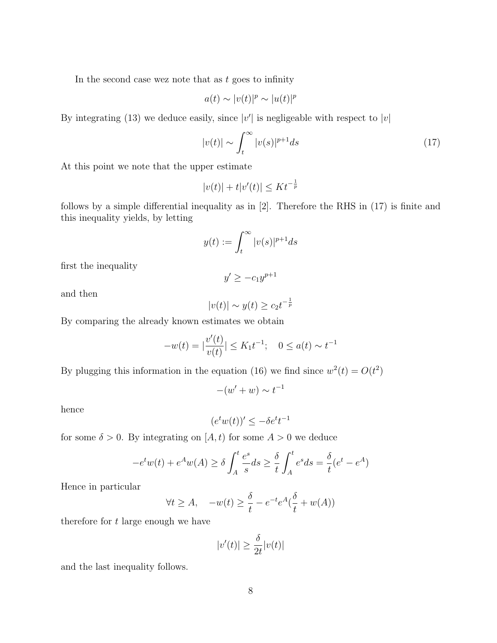In the second case wez note that as  $t$  goes to infinity

$$
a(t) \sim |v(t)|^p \sim |u(t)|^p
$$

By integrating (13) we deduce easily, since  $|v'|$  is negligeable with respect to  $|v|$ 

$$
|v(t)| \sim \int_{t}^{\infty} |v(s)|^{p+1} ds \tag{17}
$$

At this point we note that the upper estimate

$$
|v(t)| + t|v'(t)| \le Kt^{-\frac{1}{p}}
$$

follows by a simple differential inequality as in [2]. Therefore the RHS in (17) is finite and this inequality yields, by letting

$$
y(t) := \int_t^\infty |v(s)|^{p+1} ds
$$

first the inequality

$$
y' \ge -c_1 y^{p+1}
$$

and then

$$
|v(t)| \sim y(t) \ge c_2 t^{-\frac{1}{p}}
$$

By comparing the already known estimates we obtain

$$
-w(t) = |\frac{v'(t)}{v(t)}| \le K_1 t^{-1}; \quad 0 \le a(t) \sim t^{-1}
$$

By plugging this information in the equation (16) we find since  $w^2(t) = O(t^2)$ 

$$
-(w'+w) \sim t^{-1}
$$

hence

$$
(e^t w(t))' \le -\delta e^t t^{-1}
$$

for some  $\delta > 0$ . By integrating on  $[A, t]$  for some  $A > 0$  we deduce

$$
-e^t w(t) + e^A w(A) \ge \delta \int_A^t \frac{e^s}{s} ds \ge \frac{\delta}{t} \int_A^t e^s ds = \frac{\delta}{t} (e^t - e^A)
$$

Hence in particular

$$
\forall t \ge A, \quad -w(t) \ge \frac{\delta}{t} - e^{-t} e^A \left(\frac{\delta}{t} + w(A)\right)
$$

therefore for  $t$  large enough we have

$$
|v'(t)| \ge \frac{\delta}{2t}|v(t)|
$$

and the last inequality follows.